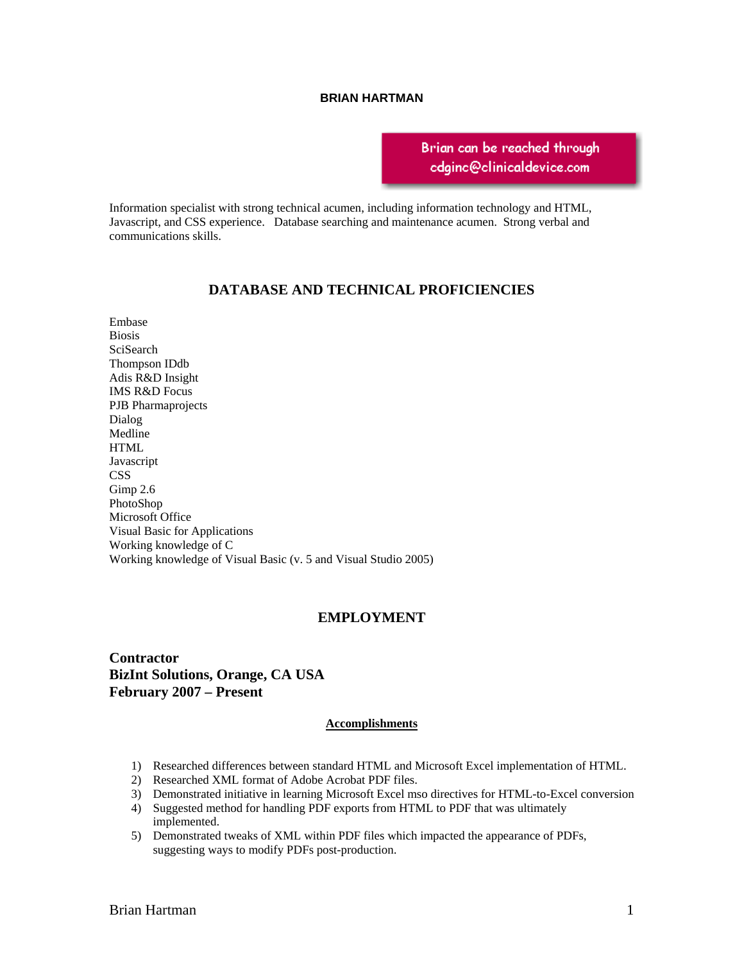#### **BRIAN HARTMAN**

**Scotch Plains, NJ 07076 (908) 288-0384** 

**bhartman36@[gmail.com](mailto:cdginc@clinicaldevice.com?subject=Brian Hartman)** 

Information specialist with strong technical acumen, including information technology and HTML, Javascript, and CSS experience. Database searching and maintenance acumen. Strong verbal and communications skills.

# **DATABASE AND TECHNICAL PROFICIENCIES**

Embase Biosis SciSearch Thompson IDdb Adis R&D Insight IMS R&D Focus PJB Pharmaprojects Dialog Medline **HTML** Javascript **CSS** Gimp 2.6 PhotoShop Microsoft Office Visual Basic for Applications Working knowledge of C Working knowledge of Visual Basic (v. 5 and Visual Studio 2005)

## **EMPLOYMENT**

**Contractor BizInt Solutions, Orange, CA USA February 2007 – Present** 

#### **Accomplishments**

- 1) Researched differences between standard HTML and Microsoft Excel implementation of HTML.
- 2) Researched XML format of Adobe Acrobat PDF files.
- 3) Demonstrated initiative in learning Microsoft Excel mso directives for HTML-to-Excel conversion
- 4) Suggested method for handling PDF exports from HTML to PDF that was ultimately implemented.
- 5) Demonstrated tweaks of XML within PDF files which impacted the appearance of PDFs, suggesting ways to modify PDFs post-production.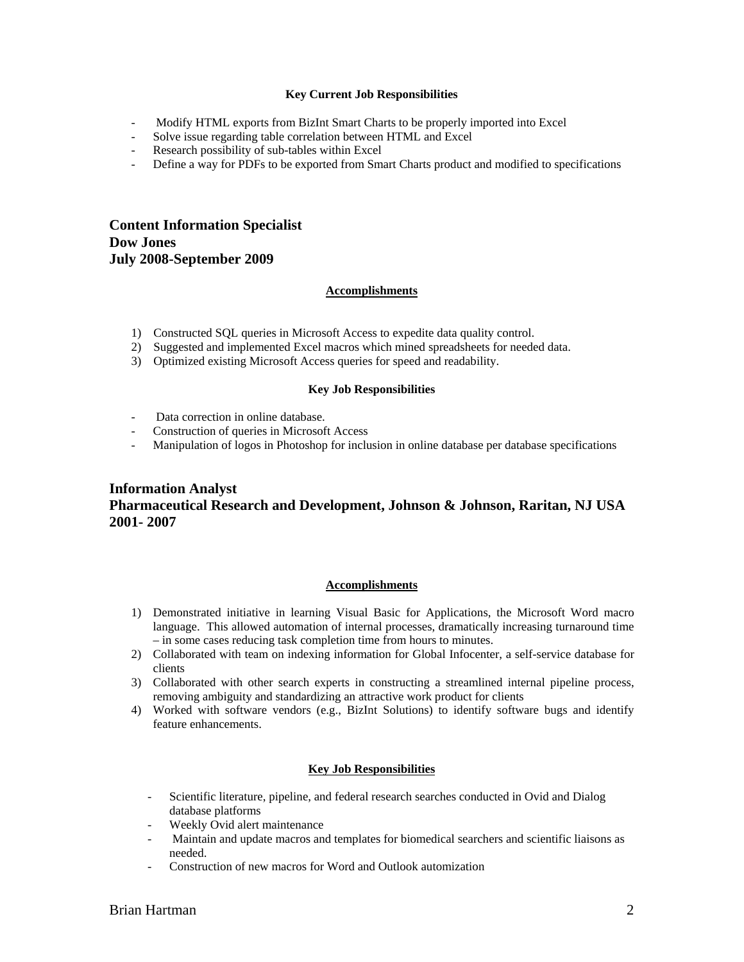### **Key Current Job Responsibilities**

- Modify HTML exports from BizInt Smart Charts to be properly imported into Excel
- Solve issue regarding table correlation between HTML and Excel
- Research possibility of sub-tables within Excel
- Define a way for PDFs to be exported from Smart Charts product and modified to specifications

**Content Information Specialist Dow Jones July 2008-September 2009** 

### **Accomplishments**

- 1) Constructed SQL queries in Microsoft Access to expedite data quality control.
- 2) Suggested and implemented Excel macros which mined spreadsheets for needed data.
- 3) Optimized existing Microsoft Access queries for speed and readability.

#### **Key Job Responsibilities**

- Data correction in online database.
- Construction of queries in Microsoft Access
- Manipulation of logos in Photoshop for inclusion in online database per database specifications

# **Information Analyst Pharmaceutical Research and Development, Johnson & Johnson, Raritan, NJ USA 2001- 2007**

#### **Accomplishments**

- 1) Demonstrated initiative in learning Visual Basic for Applications, the Microsoft Word macro language. This allowed automation of internal processes, dramatically increasing turnaround time – in some cases reducing task completion time from hours to minutes.
- 2) Collaborated with team on indexing information for Global Infocenter, a self-service database for clients
- 3) Collaborated with other search experts in constructing a streamlined internal pipeline process, removing ambiguity and standardizing an attractive work product for clients
- 4) Worked with software vendors (e.g., BizInt Solutions) to identify software bugs and identify feature enhancements.

#### **Key Job Responsibilities**

- Scientific literature, pipeline, and federal research searches conducted in Ovid and Dialog database platforms
- Weekly Ovid alert maintenance
- Maintain and update macros and templates for biomedical searchers and scientific liaisons as needed.
- Construction of new macros for Word and Outlook automization